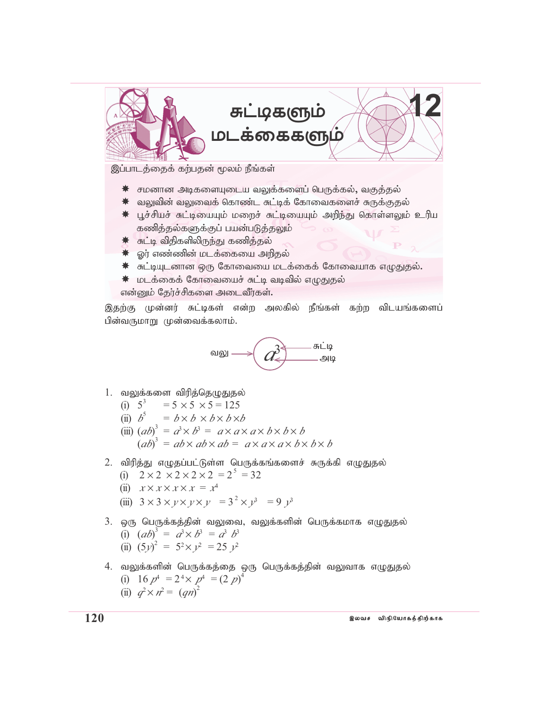

இப்பாடத்தைக் கற்பதன் மூலம் நீங்கள்

- ☀ சமனான அடிகளையுடைய வலுக்களைப் பெருக்கல், வகுத்தல்
- ☀ வலுவின் வலுவைக் கொண்ட சுட்டிக் கோவைகளைச் சுருக்குதல்
- ☀ பூச்சியச் சுட்டியையும் மறைச் சுட்டியையும் அறிந்து கொள்ளலும் உரிய கணித்தல்களுக்குப் பயன்படுத்தலும்
- ☀ சுட்டி விதிகளிலிருந்து கணித்தல்
- ☀ ஓர் எண்ணின் மடக்கையை அறிதல்
- ☀ சுட்டியுடனான ஒரு கோவையை மடக்கைக் கோவையாக எழுதுதல்.
- ☀ மடக்கைக் கோவையைச் சுட்டி வடிவில் எழுதுதல்

என்னும் தேர்ச்சிகளை அடைவீர்கள்.

இதற்கு முன்னர் சுட்டிகள் என்ற அலகில் நீங்கள் கற்ற விடயங்களைப் பின்வருமாறு முன்வைக்கலாம்.



- 1. வலுக்களை விரித்தெழுதுதல்
	- (i)  $5^3 = 5 \times 5 \times 5 = 125$
	- (ii)  $b^5 = b \times b \times b \times b \times b$
	- (iii)  $(ab)^3 = a^3 \times b^3 = a \times a \times a \times b \times b \times b$  $(ab)^3 = ab \times ab \times ab = a \times a \times a \times b \times b \times b$
- 2. விரித்து எழுதப்பட்டுள்ள பெருக்கங்களைச் சுருக்கி எழுதுதல்
	- (i)  $2 \times 2 \times 2 \times 2 \times 2 = 2^5 = 32$
	- (ii)  $x \times x \times x \times x = x^4$
	- (iii)  $3 \times 3 \times y \times y \times y = 3^2 \times y^3 = 9 y^3$
- 3. ஒரு பெருக்கத்தின் வலுவை, வலுக்களின் பெருக்கமாக எழுதுதல் (i)  $(ab)^3 = a^3 \times b^3 = a^3 b^3$ (ii)  $(5y)^2 = 5^2 \times y^2 = 25 y^2$
- 4. வலுக்களின் பெருக்கத்தை ஒரு பெருக்கத்தின் வலுவாக எழுதுதல் (i)  $16 p^4 = 2^4 \times p^4 = (2 p)^4$ <br>
(ii)  $q^2 \times n^2 = (qn)^2$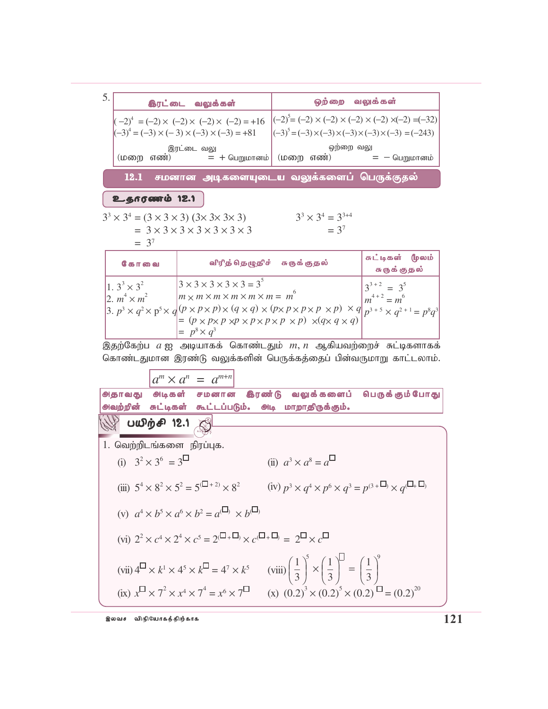5. ஒற்றை வலுக்கள் இரட்டை வலுக்கள்  $(-2)^5 = (-2) \times (-2) \times (-2) \times (-2) \times (-2) = (-32)$  $(-2)^4 = (-2) \times (-2) \times (-2) \times (-2) = +16$  $(-3)^4 = (-3) \times (-3) \times (-3) \times (-3) = +81$  $\left| (-3)^5 = (-3) \times (-3) \times (-3) \times (-3) \times (-3) = (-243) \right|$ ஒற்றை வலு இரட்டை வலு (மறை எண்)  $= +$  பெறுமானம்  $($ மறை எண் $)$  $= -$  பெறுமானம் சமனான அடிகளையுடைய வலுக்களைப் பெருக்குதல் 12.1

உதாரணம் 12.1

$$
33 \times 34 = (3 \times 3 \times 3) (3 \times 3 \times 3 \times 3)
$$
  
= 3 \times 3 \times 3 \times 3 \times 3 \times 3 \times 3  
= 3<sup>7</sup>

 $3^3 \times 3^4 = 3^{3+4}$  $= 3^7$ 

| கோவை                                          | விரித் தெழுதிச் சுருக்குதல்                                                                                                                                                                                                                                                                                                                                                                                                                                    | ' சுட்டிகள் ( <mark>ம</mark> ுலம்<br>சுருக்குதல் |
|-----------------------------------------------|----------------------------------------------------------------------------------------------------------------------------------------------------------------------------------------------------------------------------------------------------------------------------------------------------------------------------------------------------------------------------------------------------------------------------------------------------------------|--------------------------------------------------|
| $1.3^{3} \times 3^{2}$<br>2. $m^4 \times m^2$ | $3 \times 3 \times 3 \times 3 \times 3 = 3^5$<br>$ m \times m \times m \times m \times m \times m = m^{6}$<br>$\left 3, p^3 \times q^2 \times p^5 \times q(p \times p \times p) \times (q \times q) \times (p \times p \times p \times p \times p) \right $ $\left  \frac{1}{p^3 + 5} \times \frac{1}{q^2 + 1} \right  = p^8 q^3$<br>$= (p \times p \times p \times p \times p \times p \times p \times p) \times (q \times q \times q)$<br>$= p^8 \times q^3$ | $3^{3+2} = 3^5$<br>$m^{4+2} = m^6$               |

இதற்கேற்ப $a$  ஐ அடியாகக் கொண்டதும்  $m, n$  ஆகியவற்றைச் சுட்டிகளாகக் கொண்டதுமான இரண்டு வலுக்களின் பெருக்கத்தைப் பின்வருமாறு காட்டலாம்.

 $a^m \times a^n = a^{m+n}$ 

**ூடிகள்** சமனான இரண்டு வலுக்களைப் பெருக்கும்போது **அதாவது** அவற்றின் சுட்டிகள் கூட்டப்படும். அடி மாறாதிருக்கும்.

 $1$  Qoungh rive  $\infty$ or ribriu

பயிற்சி 12.1

1. 
$$
\text{Sublipole has been by lued.}
$$
  
\n(i)  $3^2 \times 3^6 = 3^{\square}$  (ii)  $a^3 \times a^8 = a^{\square}$   
\n(iii)  $5^4 \times 8^2 \times 5^2 = 5^{(\square + 2)} \times 8^2$  (iv)  $p^3 \times q^4 \times p^6 \times q^3 = p^{(3 + \square)} \times q^{(\square + \square)}$   
\n(v)  $a^4 \times b^5 \times a^6 \times b^2 = a^{(\square)} \times b^{(\square)}$   
\n(vi)  $2^2 \times c^4 \times 2^4 \times c^5 = 2^{(\square + \square)} \times c^{(\square + \square)} = 2^{\square} \times c^{\square}$   
\n(vii)  $4^{\square} \times k^1 \times 4^5 \times k^{\square} = 4^7 \times k^5$  (viii)  $\left(\frac{1}{3}\right)^5 \times \left(\frac{1}{3}\right)^{\square} = \left(\frac{1}{3}\right)^9$   
\n(ix)  $x^{\square} \times 7^2 \times x^4 \times 7^4 = x^6 \times 7^{\square}$  (x)  $(0.2)^3 \times (0.2)^5 \times (0.2)^{\square} = (0.2)^{20}$ 

இலவச விநியோகத்திற்காக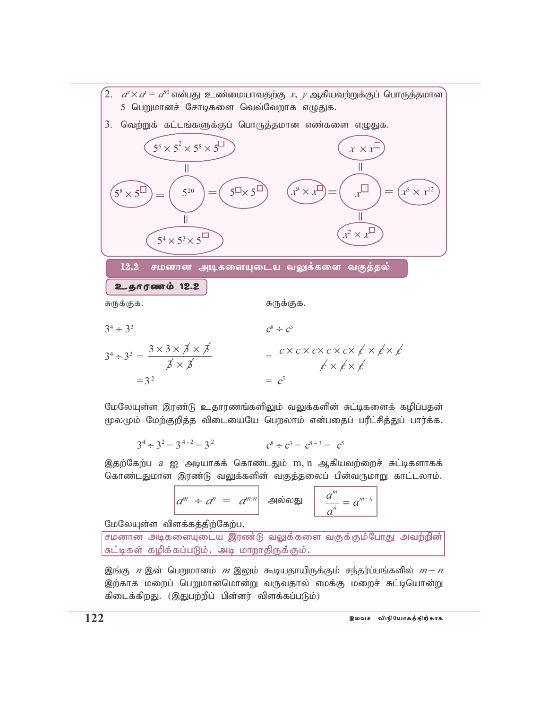

மேலேயுள்ள இரண்டு உதாரணங்களிலும் வலுக்களின் சுட்டிகளைக் கழிப்பதன் மூலமும் மேற்குறித்த விடையையே பெறலாம் என்பதைப் பரீட்சித்துப் பார்க்க.

$$
3^4 \div 3^2 = 3^{4-2} = 3^2
$$
  $c^8 \div c^3 = c^{8-3} = c^5$ 

இதற்கேற்ப *a* ஐ அடியாகக் கொண்டதும் m, n ஆகியவற்றைச் சுட்டிகளாகக் கொண்டதுமான இரண்டு வலுக்களின் வகுத்தலைப் பின்வருமாறு காட்டலாம்.

$$
a^m \div a^n = a^{m-n} \quad \text{subject to} \quad a^m = a^{m-n}
$$

மேலேயுள்ள விளக்கத்திற்கேற்பூ

சமனான அடிகளையுடைய இரண்டு வலுக்களை வகுக்கும்போது அவற்றின்| சுட்டிகள் கழிக்கப்படும். அடி மாறாதிருக்கும்.

இங்கு *n* இன் பெறுமானம் *m* இலும் கூடியதாயிருக்கும் சந்தர்ப்பங்களில் *m* – *n* இற்காக மறைப் பெறுமானமொன்று வருவதால் எமக்கு மறைச் சுட்டியொன்று கிடைக்கிறது. (இதுபற்றிப் பின்னர் விளக்கப்படும்)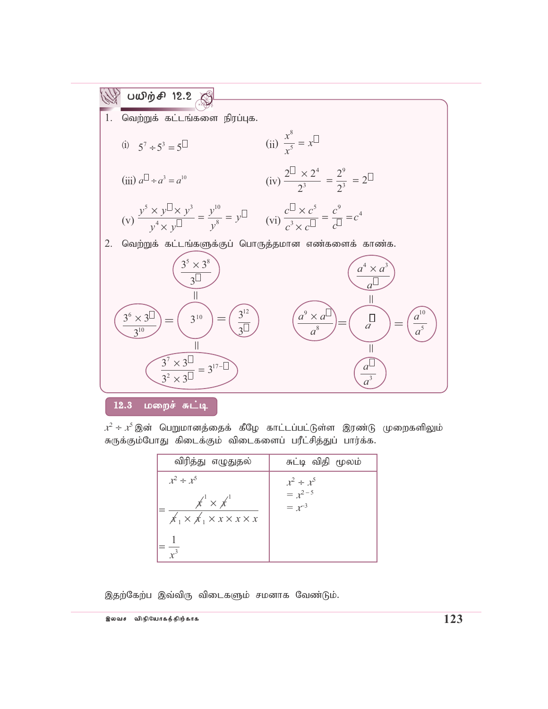

 $12.3$  மறைச் சுட்டி

 $\mathcal{X}^2 \div \mathcal{X}^5$  இன் பெறுமானத்தைக் கீழே காட்டப்பட்டுள்ள இரண்டு முறைகளிலும் சுருக்கும்போது கிடைக்கும் விடைகளைப் பரீட்சித்துப் பார்க்க.

| விரித்து எழுதுதல்                                                                                                                           | சுட்டி விதி மூலம்                           |
|---------------------------------------------------------------------------------------------------------------------------------------------|---------------------------------------------|
| $x^2 \div x^5$<br>$\overline{\mathcal{X}}^1 \times \overline{\mathcal{X}}^1$<br>$x_1 \times x_1 \times x \times x \times x$<br>$\sqrt{r^3}$ | $x^2 \div x^5$<br>$= x^{2-5}$<br>$= x^{-3}$ |

இதற்கேற்ப இவ்விரு விடைகளும் சமனாக வேண்டும்.

இலவச விநி**போகத்திற்காக கூடம் பட்டமைகள் குழுத்து ம**ுக்கும் பட்டமைகள் பட்டமைகள் ப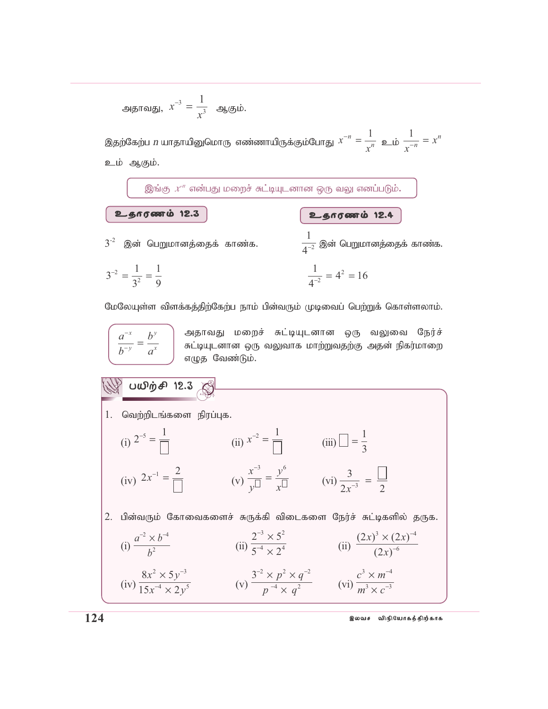அதாவது, 
$$
x^{-3} = \frac{1}{x^3}
$$
 ஆகும்.

இன் பெறுமானத்தைக் காண்க.

இதற்கேற்ப *n* யாதாயினுமொரு எண்ணாயிருக்கும்போது  $x^{-n} = \frac{1}{x^n}$  உம்  $\frac{1}{x^{-n}} = x^n$ உம் ஆகும்.

இங்கு  $x^n$  என்பது மறைச் சுட்டியுடனான ஒரு வலு எனப்படும்.

உதாரணம் 12.3

உதாரணம் 12.4  $\frac{1}{A^{-2}}$  இன் பெறுமானத்தைக் காண்க.

$$
3^{-2} = \frac{1}{3^2} = \frac{1}{9}
$$
 
$$
\frac{1}{4^{-2}} = 4^2 = 16
$$

மேலேயுள்ள விளக்கத்திற்கேற்ப நாம் பின்வரும் முடிவைப் பெற்றுக் கொள்ளலாம்.

$$
\overline{\left(\frac{a^{-x}}{b^{-y}}=\frac{b^{y}}{a^{x}}\right)}
$$

 $3^{-2}$ 

) அதாவது மறைச் சுட்டியுடனான ஒரு வலுவை நேர்ச்<br>) சுட்டியுடனான ஒரு வலுவாக மாற்றுவதற்கு அதன் நிகர்மாறை<br>) எழுத வேண்டும்.

 $\mathbb{W}$  பயிர்சி 12.3 1. வெற்றிடங்களை நிரப்புக. (i)  $2^{-5} = \frac{1}{\Box}$  (ii)  $x^{-2} = \frac{1}{\Box}$  (iii)  $\Box = \frac{1}{3}$ (iv)  $2x^{-1} = \frac{2}{\sqrt{2}}$  (v)  $\frac{x^{-3}}{v^{\frac{3}{2}}} = \frac{y^{6}}{x^{\frac{3}{2}}}$  (vi)  $\frac{3}{2x^{-3}} = \frac{\sqrt{2}}{2}$ 2. பின்வரும் கோவைகளைச் சுருக்கி விடைகளை நேர்ச் சுட்டிகளில் தருக. (i)  $\frac{a^{-2} \times b^{-4}}{b^2}$  (ii)  $\frac{2^{-3} \times 5^2}{5^{-4} \times 2^4}$  (ii)  $\frac{(2x)^3 \times (2x)^{-4}}{(2x)^{-6}}$ (iv)  $\frac{8x^2 \times 5y^{-3}}{15x^{-4} \times 2y^5}$  (v)  $\frac{3^{-2} \times p^2 \times q^{-2}}{p^{-4} \times q^2}$  (vi)  $\frac{c^3 \times m^{-4}}{m^3 \times c^{-3}}$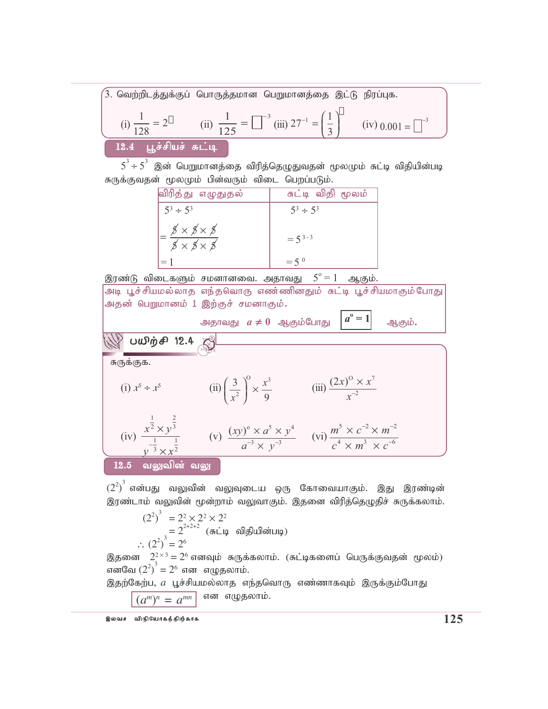$\hat{3}$ . வெற்றிடத்துக்குப் பொருத்தமான பெறுமானத்தை இட்டு நிரப்புக. (i) 1  $\frac{1}{128} = 2^{\square}$  (ii) 1 125  $=\Box^{-3}$  (iii)  $27^{-1} = \frac{1}{3}$  $^{-1}$  =  $\Big($  $\lfloor$  $\overline{\phantom{a}}$  $\overline{ }$ (iv)  $0.001 = \Box^{-3}$  $12.4$  பூச்சியச் சுட்டி

 $5^3\div 5^3$  இன் பெறுமானத்தை விரித்தெழுதுவதன் மூலமும் சுட்டி விதியின்படி சுருக்குவதன் மூலமும் பின்வரும் விடை பெறப்படும்.

| <mark>விரித்து எழுதுதல்</mark>                                                                                                     | சுட்டி விதி மூலம்  |  |  |
|------------------------------------------------------------------------------------------------------------------------------------|--------------------|--|--|
| $5^3 \div 5^3$                                                                                                                     | $5^3 \div 5^3$     |  |  |
| $\frac{1}{x} = \frac{\cancel{5} \times \cancel{5} \times \cancel{5}}{x}$<br>$\not\!\!\! S \times \not\!\!\! S \times \not\!\!\! S$ | $=5^{3-3}$         |  |  |
| $=$ 1                                                                                                                              | $=$ 5 <sup>0</sup> |  |  |

இரண்டு விடைகளும் சமனானவை. அதாவது  $5^{\circ}\!=\!1^{\circ}$ ஆகும்.

அடி பூச்சியமல்லாத எந்தவொரு எண<mark>்</mark>ணினதும் சுட்டி பூச்சியமாகும்போது அதன் பெறுமானம் 1 இற்குச் சமனாகும்**.** 

அதாவது  *a* ≠ 0  ஆகும்போது  
$$
|a^{\circ} = 1|
$$
   ஆகும்.

*a* **o = 1**

சுருக்குக.

(i) 
$$
x^5 \div x^5
$$
  
\n(ii)  $\left(\frac{3}{x^2}\right)^0 \times \frac{x^3}{9}$   
\n(iii)  $\frac{(2x)^0 \times x^7}{x^{-2}}$   
\n(iv)  $\frac{x^{\frac{1}{2}} \times y^{\frac{2}{3}}}{y^{-\frac{1}{3}} \times x^{\frac{1}{2}}}$   
\n(v)  $\frac{(xy)^0 \times a^5 \times y^4}{a^{-3} \times y^{-3}}$   
\n(vi)  $\frac{m^5 \times c^{-2} \times m^{-2}}{c^4 \times m^3 \times c^{-6}}$ 

12.5 வலுவின் வலு

 $\omega$   $\omega$   $\eta$   $\sigma$   $\theta$  12.4

 ${(2^2)}^3$  என்பது வலுவின் வலுவுடைய ஒரு கோவையாகும். இது இரண்டின் இரண்டாம் வலுவின் மூன்றாம் வலுவாகும். இதனை விரித்தெழுதிச் சுருக்கலாம்.

$$
(22)3 = 22 × 22 × 22
$$
  
= 2<sup>2+2+2</sup> (சுட்டி 0]g)ulின்படி)  
∴ (2<sup>2</sup>)<sup>3</sup> = 2<sup>6</sup>

இதனை  $2^{2\times 3}_{\sim} = 2^{6}$  எனவும் சுருக்கலாம். (சுட்டிகளைப் பெருக்குவதன் மூலம்)  $\overline{\text{G}}$ எனவே  $(2^2)^3 = 2^6$  என எழுதலாம்.

இதற்கேற்ப,  $a$  பூச்சியமல்லாத எந்தவொரு எண்ணாகவும் இருக்கும்போது  $\overline{(a^m)^n \, = \, a^{mn}} \,$  என எழுதலாம்.

,ytr tpepNahfj;jpw;fhf **125**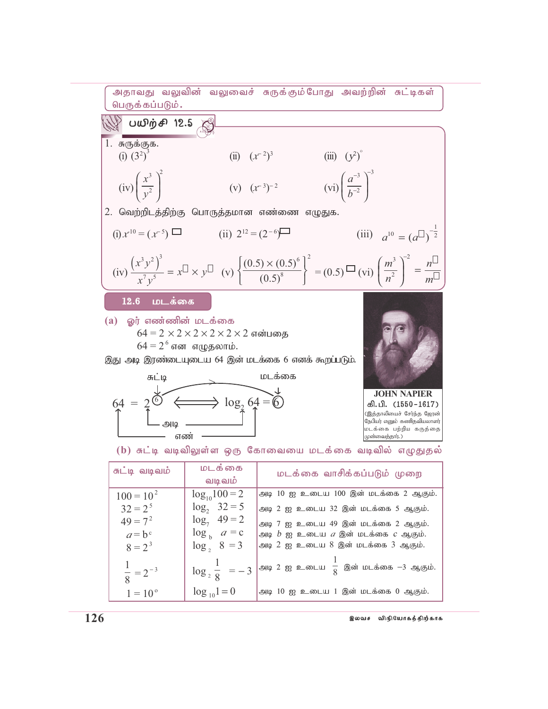

| சுட்டி வடிவம்                        | மடக்கை<br>வடிவம்                                   | மடக்கை வாசிக்கப்படும் முறை                                                                                            |
|--------------------------------------|----------------------------------------------------|-----------------------------------------------------------------------------------------------------------------------|
| $100 = 102$                          | $log_{10}100 = 2$                                  | அடி 10 ஐ உடைய 100 இன் மடக்கை 2 ஆகும்.                                                                                 |
| $32 = 2^5$                           | $log_2 32 = 5$                                     | அடி 2 ஐ உடைய 32 இன் மடக்கை 5 ஆகும்.                                                                                   |
| $49 = 7^2$<br>$a = b^c$<br>$8 = 2^3$ | $log_7 49 = 2$<br>$\log_b a = c$<br>$\log_2 8 = 3$ | அடி 7 ஐ உடைய 49 இன் மடக்கை 2 ஆகும்.<br>அடி $b$ ஐ உடைய $a$ இன் மடக்கை $c$ ஆகும்.<br>அடி 2 ஐ உடைய 8 இன் மடக்கை 3 ஆகும். |
| $rac{1}{8}$ = 2 <sup>-3</sup>        | $\log_{2} \frac{1}{8} = -3$                        | அடி 2 ஐ உடைய $\frac{1}{8}$ இன் மடக்கை -3 ஆகும்.                                                                       |
| $1 = 10^{\circ}$                     | $\log_{10} 1 = 0$                                  | அடி 10 ஐ உடைய 1 இன் மடக்கை 0 ஆகும்.                                                                                   |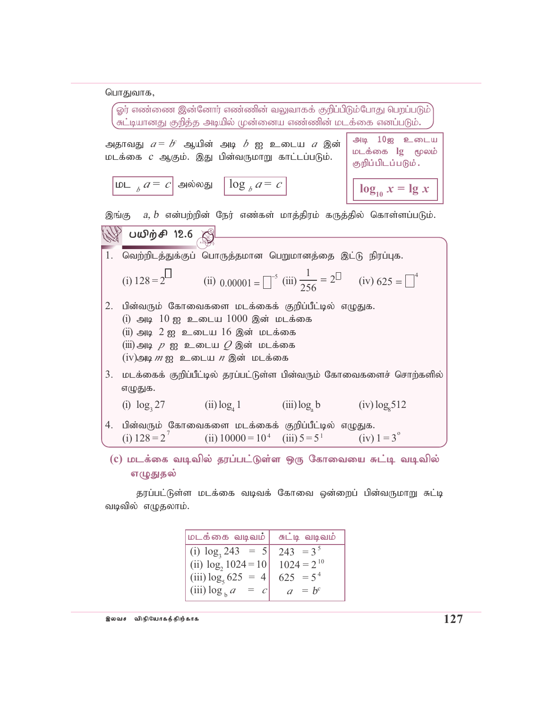பொதுவாக,

| $\hat{\boldsymbol{\omega}}$ ர் எண்ணை இன்னோர் எண்ணின் வலுவாகக் குறிப்பிடும்போது பெறப்படும் $\hat{\boldsymbol{\omega}}$<br>சுட்டியானது குறித்த அடியில் முன்னைய எண்ணின் மடக்கை எனப்படும். |                                                                                                                                                                                                                                                                                                 |                                                                    |                                    |                                                                                                                                                                                                                                                                                                                 |  |
|----------------------------------------------------------------------------------------------------------------------------------------------------------------------------------------|-------------------------------------------------------------------------------------------------------------------------------------------------------------------------------------------------------------------------------------------------------------------------------------------------|--------------------------------------------------------------------|------------------------------------|-----------------------------------------------------------------------------------------------------------------------------------------------------------------------------------------------------------------------------------------------------------------------------------------------------------------|--|
|                                                                                                                                                                                        | அதாவது $a$ = $b^{\iota}$ ஆயின் அடி $b$ ஐ உடைய $a$ இன்<br>மடக்கை <i>c</i> ஆகும். இது பின்வருமாறு காட்டப்படும்.                                                                                                                                                                                   |                                                                    |                                    | அடி 10ஐ உடைய<br>மடக்கை lg மூலம்<br>குறிப்பிடப்படும்.                                                                                                                                                                                                                                                            |  |
|                                                                                                                                                                                        | மட $_a a = c$ அல்லது $\log_a a = c$                                                                                                                                                                                                                                                             |                                                                    |                                    | $\log_{10} x = \log x$                                                                                                                                                                                                                                                                                          |  |
|                                                                                                                                                                                        | இங்கு $a, b$ என்பற்றின் நேர் எண்கள் மாத்திரம் கருத்தில் கொள்ளப்படும்.                                                                                                                                                                                                                           |                                                                    |                                    |                                                                                                                                                                                                                                                                                                                 |  |
|                                                                                                                                                                                        | ∰ பயிற்சி 12.6 இ                                                                                                                                                                                                                                                                                |                                                                    |                                    |                                                                                                                                                                                                                                                                                                                 |  |
| 1.                                                                                                                                                                                     | வெற்றிடத்துக்குப் பொருத்தமான பெறுமானத்தை இட்டு நிரப்புக.                                                                                                                                                                                                                                        |                                                                    |                                    |                                                                                                                                                                                                                                                                                                                 |  |
|                                                                                                                                                                                        | (i) $128 = 2^{\square}$ (ii) $0.00001 = \square^{-5}$ (iii) $\frac{1}{256} = 2^{\square}$ (iv) $625 = \square^{4}$                                                                                                                                                                              |                                                                    |                                    |                                                                                                                                                                                                                                                                                                                 |  |
| 2.                                                                                                                                                                                     | பின்வரும் கோவைகளை மடக்கைக் குறிப்பீட்டில் எழுதுக.<br>$(i)$ அடி $10$ ஐ உடைய $1000$ இன் மடக்கை<br>$(ii)$ அடி $2$ ஐ உடைய $16$ இன் மடக்கை<br>$\displaystyle \mathrm{(iii)}$ அடி $\displaystyle \rho$ ஐ உடைய $\displaystyle \mathop{\mathcal{Q}}$ இன் மடக்கை<br>$(iv)$ அடி $m$ ஐ உடைய $n$ இன் மடக்கை |                                                                    |                                    |                                                                                                                                                                                                                                                                                                                 |  |
| 3.                                                                                                                                                                                     | எழுதுக.                                                                                                                                                                                                                                                                                         |                                                                    |                                    | மடக்கைக் குறிப்பீட்டில் தரப்பட்டுள்ள பின்வரும் கோவைகளைச் சொற்களில்                                                                                                                                                                                                                                              |  |
|                                                                                                                                                                                        | (i) $\log_3 27$ (ii) $\log_4 1$                                                                                                                                                                                                                                                                 |                                                                    | $(iii) \log_a b$ $(iv) \log_a 512$ |                                                                                                                                                                                                                                                                                                                 |  |
| 4.                                                                                                                                                                                     | பின்வரும் கோவைகளை மடக்கைக் குறிப்பீட்டில் எழுதுக.                                                                                                                                                                                                                                               | (i) $128 = 2^7$ (ii) $10000 = 10^4$ (iii) $5 = 5^1$ (iv) $1 = 3^9$ |                                    |                                                                                                                                                                                                                                                                                                                 |  |
|                                                                                                                                                                                        |                                                                                                                                                                                                                                                                                                 |                                                                    |                                    | $\mu$ ) $\mu$ $\tau$ $\sim$ $\mu$ $\sim$ $\mu$ ) $\tau$ $\mu$ $\mu$ $\sim$ $\mu$ $\sim$ $\mu$ $\sim$ $\tau$ $\sim$ $\tau$ $\sim$ $\tau$ $\sim$ $\tau$ $\sim$ $\tau$ $\sim$ $\tau$ $\sim$ $\tau$ $\sim$ $\tau$ $\sim$ $\tau$ $\sim$ $\tau$ $\sim$ $\tau$ $\sim$ $\tau$ $\sim$ $\tau$ $\sim$ $\tau$ $\sim$ $\tau$ |  |

(c) மடக்கை வடிவில் தரப்பட்டுள்ள ஒரு கோவையை சுட்டி வடிவில் எழுதுதல்

தரப்பட்டுள்ள மடக்கை வடிவக் கோவை ஒன்றைப் பின்வருமாறு சுட்டி வடிவில் எழுதலாம்.

| மடக்கை வடிவம்   சுட்டி வடிவம்           |             |
|-----------------------------------------|-------------|
| (i) $\log_3 243 = 5$                    | $243 = 3^5$ |
| (ii) $\log_2 1024 = 10$ $1024 = 2^{10}$ |             |
| (iii) $\log_5 625 = 4$                  | $625 = 5^4$ |
| $(iii) \log_b a = c$                    | $a = b^c$   |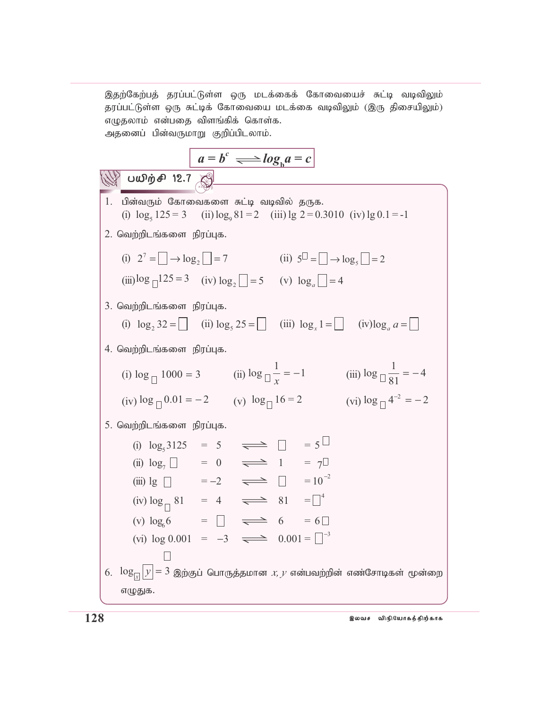இதற்கேற்பத் தரப்பட்டுள்ள ஒரு மடக்கைக் கோவையைச் சுட்டி வடிவிலும் தரப்பட்டுள்ள ஒரு சுட்டிக் கோவையை மடக்கை வடிவிலும் (இரு திசையிலும்)  $\sigma$ ழுதலாம் என்பதை விளங்கிக் கொள்க. அதனைப் பின்வருமாறு குறிப்பிடலாம்.

$$
a = b^c \implies \log_b a = c
$$

| W                                                                                                                                                            | UWḊρ̅θ̄ η 2.7 |
|--------------------------------------------------------------------------------------------------------------------------------------------------------------|---------------|
| 1. ∪3πίαισιμό ξαππωαιακωσισ π κίω μικραίως δισακ. (i) log <sub>5</sub> 125 = 3 (ii) log <sub>5</sub> 81 = 2 (iii) log 2 = 0.3010 (iv) log 0.1 = -1           |               |
| 2. Goupi̇ρ̂θιικιάακωσιτη Βίητίυμα.                                                                                                                           |               |
| (i) 2 <sup>7</sup> = ⌐ log <sub>2</sub> ⌐ = 7 (ii) 5 <sup>□</sup> = ⌐ log <sub>5</sub> ⌐ = 2                                                                 |               |
| (ii) log ⌐125 = 3 (iv) log <sub>2</sub> ⌐ = 5 (v) log <sub>6</sub> ⌑ = 4                                                                                     |               |
| 3. Goupi̇ρ̂θικιάακωστη βίητίυμα.                                                                                                                             |               |
| (i) log <sub>2</sub> 32 = ⌐ (ii) log <sub>5</sub> 25 = ⌐ (iii) log <sub>3</sub> 1 = ⓐ (iv) log <sub>6</sub> a = ⌐                                            |               |
| 4. Goupi̇ρ̂θικιάακωστη βίητίυμα.                                                                                                                             |               |
| (i) log <sub>□</sub> 1000 = 3 (ii) log <sub>□</sub> $\frac{1}{x}$ = −1 (iii) log <sub>□</sub> $\frac{1}{81}$ = −4 (iv) log <sub>□</sub> 4 <sup>-2</sup> = −2 |               |
| 5. Goupi̇ρ̂θικιάαωστη βίητίυμα.                                                                                                                              |               |
| (i) log <sub>□</sub> 3125 = 5 ⇒ ⓐ ⓐ ⓐ = 1 = 5                                                                                                                |               |
| (ii) log <sub>5</sub> 1 = −2 ⇒ ⓐ = 1 = 10 <sup>-2</sup>                                                                                                      |               |
| (iii) log ⓐ = −2 ⇒ ⓐ = 1 =                                                                                                                                   |               |